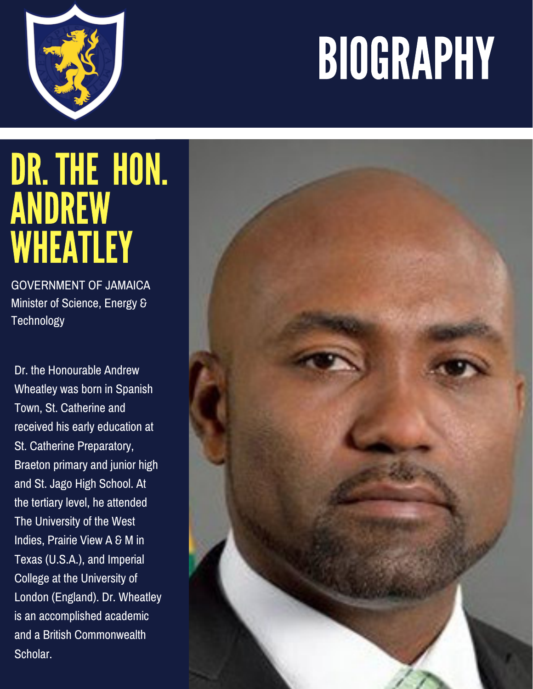## BIOGRAPHY



## DR.THE HON. **ANDREW** WHEATLEY

GOVERNMENT OF JAMAICA Minister of Science, Energy & **Technology** 

Dr. the Honourable Andrew Wheatley was born in Spanish Town, St. Catherine and received his early education at St. Catherine Preparatory, Braeton primary and junior high and St. Jago High School. At the tertiary level, he attended The University of the West Indies, Prairie View A & M in Texas (U.S.A.), and Imperial College at the University of London (England). Dr. Wheatley is an accomplished academic and a British Commonwealth Scholar.